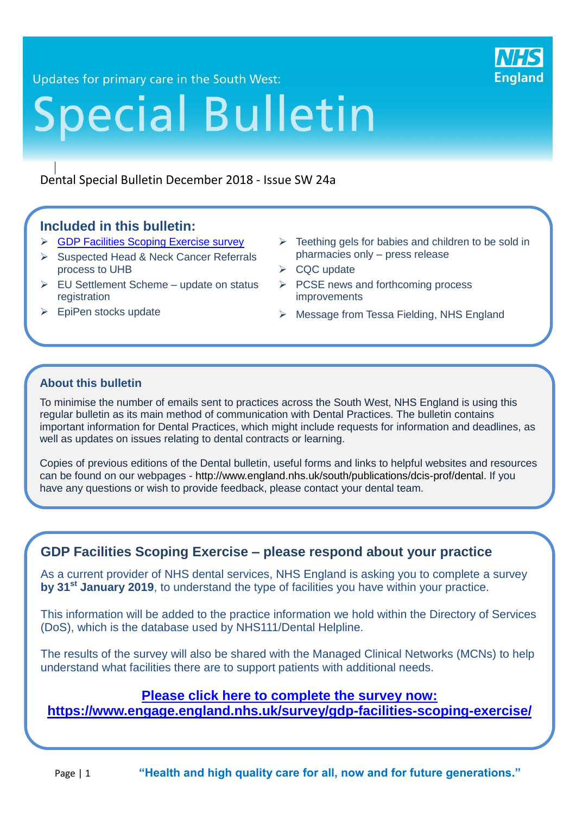

Updates for primary care in the South West:

# **Special Bulletin**

#### Dental Special Bulletin December 2018 - Issue SW 24a

#### **Included in this bulletin:**

- **► [GDP Facilities Scoping Exercise survey](https://www.engage.england.nhs.uk/survey/gdp-facilities-scoping-exercise/)**
- $\triangleright$  Suspected Head & Neck Cancer Referrals process to UHB
- $\triangleright$  EU Settlement Scheme update on status registration
- $\triangleright$  EpiPen stocks update

21

- $\triangleright$  Teething gels for babies and children to be sold in pharmacies only – press release
- $\triangleright$  CQC update
- $\triangleright$  PCSE news and forthcoming process improvements
- ▶ Message from Tessa Fielding, NHS England

#### **About this bulletin**

To minimise the number of emails sent to practices across the South West, NHS England is using this regular bulletin as its main method of communication with Dental Practices. The bulletin contains important information for Dental Practices, which might include requests for information and deadlines, as well as updates on issues relating to dental contracts or learning.

Copies of previous editions of the Dental bulletin, useful forms and links to helpful websites and resources can be found on our webpages - [http://www.england.nhs.uk/south/publications/dcis-prof/dental.](http://www.england.nhs.uk/south/publications/dcis-prof/dental) If you have any questions or wish to provide feedback, please contact your dental team.

#### **GDP Facilities Scoping Exercise – please respond about your practice**

As a current provider of NHS dental services, NHS England is asking you to complete a survey **by 31st January 2019**, to understand the type of facilities you have within your practice.

This information will be added to the practice information we hold within the Directory of Services (DoS), which is the database used by NHS111/Dental Helpline.

The results of the survey will also be shared with the Managed Clinical Networks (MCNs) to help understand what facilities there are to support patients with additional needs.

#### **[Please click here to complete the survey now:](https://www.engage.england.nhs.uk/survey/gdp-facilities-scoping-exercise/)**

**<https://www.engage.england.nhs.uk/survey/gdp-facilities-scoping-exercise/>**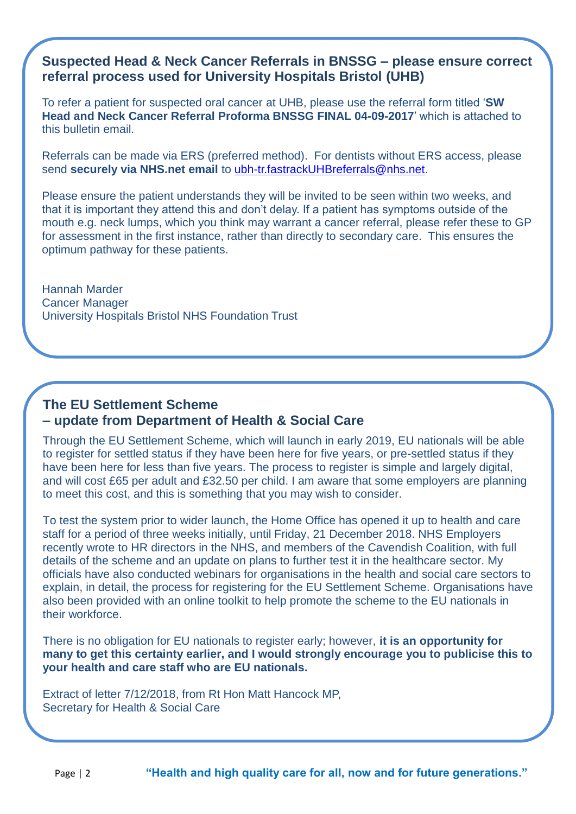#### **Suspected Head & Neck Cancer Referrals in BNSSG – please ensure correct referral process used for University Hospitals Bristol (UHB)**

To refer a patient for suspected oral cancer at UHB, please use the referral form titled '**SW Head and Neck Cancer Referral Proforma BNSSG FINAL 04-09-2017**' which is attached to this bulletin email.

Referrals can be made via ERS (preferred method). For dentists without ERS access, please send **securely via NHS.net email** to [ubh-tr.fastrackUHBreferrals@nhs.net.](mailto:ubh-tr.fastrackUHBreferrals@nhs.net)

Please ensure the patient understands they will be invited to be seen within two weeks, and that it is important they attend this and don't delay. If a patient has symptoms outside of the mouth e.g. neck lumps, which you think may warrant a cancer referral, please refer these to GP for assessment in the first instance, rather than directly to secondary care. This ensures the optimum pathway for these patients.

Hannah Marder Cancer Manager University Hospitals Bristol NHS Foundation Trust

# **The EU Settlement Scheme – update from Department of Health & Social Care**

Through the EU Settlement Scheme, which will launch in early 2019, EU nationals will be able to register for settled status if they have been here for five years, or pre-settled status if they have been here for less than five years. The process to register is simple and largely digital, and will cost £65 per adult and £32.50 per child. I am aware that some employers are planning to meet this cost, and this is something that you may wish to consider.

To test the system prior to wider launch, the Home Office has opened it up to health and care staff for a period of three weeks initially, until Friday, 21 December 2018. NHS Employers recently wrote to HR directors in the NHS, and members of the Cavendish Coalition, with full details of the scheme and an update on plans to further test it in the healthcare sector. My officials have also conducted webinars for organisations in the health and social care sectors to explain, in detail, the process for registering for the EU Settlement Scheme. Organisations have also been provided with an online toolkit to help promote the scheme to the EU nationals in their workforce.

There is no obligation for EU nationals to register early; however, **it is an opportunity for many to get this certainty earlier, and I would strongly encourage you to publicise this to your health and care staff who are EU nationals.**

Extract of letter 7/12/2018, from Rt Hon Matt Hancock MP, Secretary for Health & Social Care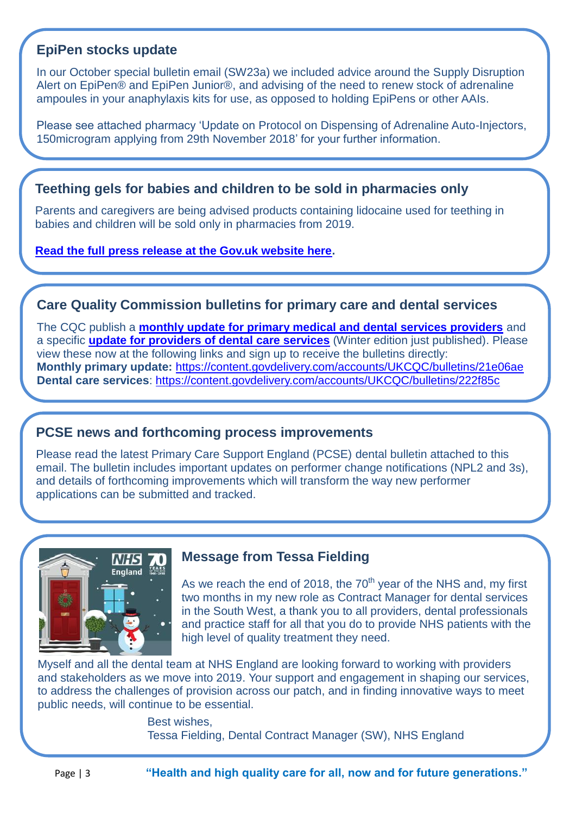# **EpiPen stocks update**

In our October special bulletin email (SW23a) we included advice around the Supply Disruption Alert on EpiPen® and EpiPen Junior®, and advising of the need to renew stock of adrenaline ampoules in your anaphylaxis kits for use, as opposed to holding EpiPens or other AAIs.

Please see attached pharmacy 'Update on Protocol on Dispensing of Adrenaline Auto-Injectors, 150microgram applying from 29th November 2018' for your further information.

#### **Teething gels for babies and children to be sold in pharmacies only**

Parents and caregivers are being advised products containing lidocaine used for teething in babies and children will be sold only in pharmacies from 2019.

**[Read the full press release at the Gov.uk website here.](https://www.gov.uk/government/news/teething-gels-for-babies-and-children-to-be-sold-in-pharmacies-only?utm_source=d911c902-08ca-4abe-8af1-2bbabd2263c7&utm_medium=email&utm_campaign=govuk-notifications&utm_content=immediate)**

#### **Care Quality Commission bulletins for primary care and dental services**

The CQC publish a **[monthly update for primary medical and dental services providers](https://content.govdelivery.com/accounts/UKCQC/bulletins/21e06ae)** and a specific **[update for providers of dental care services](https://content.govdelivery.com/accounts/UKCQC/bulletins/222f85c)** (Winter edition just published). Please view these now at the following links and sign up to receive the bulletins directly: **Monthly primary update:** <https://content.govdelivery.com/accounts/UKCQC/bulletins/21e06ae> **Dental care services**:<https://content.govdelivery.com/accounts/UKCQC/bulletins/222f85c>

# **PCSE news and forthcoming process improvements**

Please read the latest Primary Care Support England (PCSE) dental bulletin attached to this email. The bulletin includes important updates on performer change notifications (NPL2 and 3s), and details of forthcoming improvements which will transform the way new performer applications can be submitted and tracked.



#### **Message from Tessa Fielding**

As we reach the end of 2018, the  $70<sup>th</sup>$  year of the NHS and, my first two months in my new role as Contract Manager for dental services in the South West, a thank you to all providers, dental professionals and practice staff for all that you do to provide NHS patients with the high level of quality treatment they need.

Myself and all the dental team at NHS England are looking forward to working with providers and stakeholders as we move into 2019. Your support and engagement in shaping our services, to address the challenges of provision across our patch, and in finding innovative ways to meet public needs, will continue to be essential.

> Best wishes, Tessa Fielding, Dental Contract Manager (SW), NHS England

Page | 3 **"Health and high quality care for all, now and for future generations."**